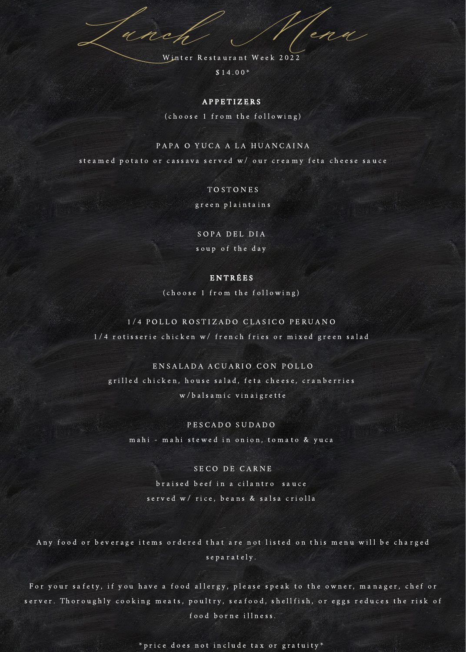Lunch Menu Winter Restaurant Week 2022

 $$14.00*$ 

#### **APPETIZERS**

(choose 1 from the following)

### PAPA O YUCA A LA HUANCAINA

stea med potato or cassava served w/ our creamy feta cheese sauce

## **TOSTONES**

green plaintains

# SOPA DEL DIA soup of the day

### E N T R É E S

(choose 1 from the following)

# 1/4 POLLO ROSTIZADO CLASICO PERUANO 1/4 rotisserie chicken w/ french fries or mixed green salad,

# EN SALADA ACUARIO CON POLLO grilled chicken, house salad, feta cheese, cranberries w/balsamic vinaigrette

## PESCADO SUDADO mahi - mahi stewed in onion, tomato & yuca

## SE CO DE CARNE

braised beef in a cilantro sauce s er v e d w / rice, beans & salsa criolla

Any food or beverage items ordered that are not listed on this menu will be charged s e p a r a t e l y.

For your safety, if you have a food allergy, please speak to the owner, manager, chef or server. Thoroughly cooking meats, poultry, seafood, shellfish, or eggs reduces the risk of food borne illness.

\* price does not include tax or gratuity\*